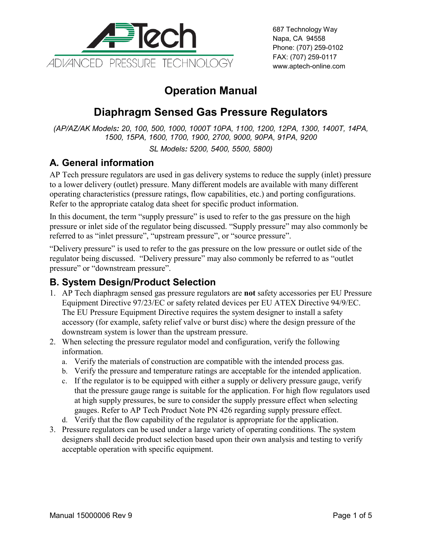

687 Technology Way Napa, CA 94558 Phone: (707) 259-0102 FAX: (707) 259-0117 www.aptech-online.com

# **Operation Manual**

# **Diaphragm Sensed Gas Pressure Regulators**

*(AP/AZ/AK Models: 20, 100, 500, 1000, 1000T 10PA, 1100, 1200, 12PA, 1300, 1400T, 14PA, 1500, 15PA, 1600, 1700, 1900, 2700, 9000, 90PA, 91PA, 9200*

*SL Models: 5200, 5400, 5500, 5800)*

## **A. General information**

AP Tech pressure regulators are used in gas delivery systems to reduce the supply (inlet) pressure to a lower delivery (outlet) pressure. Many different models are available with many different operating characteristics (pressure ratings, flow capabilities, etc.) and porting configurations. Refer to the appropriate catalog data sheet for specific product information.

In this document, the term "supply pressure" is used to refer to the gas pressure on the high pressure or inlet side of the regulator being discussed. "Supply pressure" may also commonly be referred to as "inlet pressure", "upstream pressure", or "source pressure".

"Delivery pressure" is used to refer to the gas pressure on the low pressure or outlet side of the regulator being discussed. "Delivery pressure" may also commonly be referred to as "outlet pressure" or "downstream pressure".

### **B. System Design/Product Selection**

- 1. AP Tech diaphragm sensed gas pressure regulators are **not** safety accessories per EU Pressure Equipment Directive 97/23/EC or safety related devices per EU ATEX Directive 94/9/EC. The EU Pressure Equipment Directive requires the system designer to install a safety accessory (for example, safety relief valve or burst disc) where the design pressure of the downstream system is lower than the upstream pressure.
- 2. When selecting the pressure regulator model and configuration, verify the following information.
	- a. Verify the materials of construction are compatible with the intended process gas.
	- b. Verify the pressure and temperature ratings are acceptable for the intended application.
	- c. If the regulator is to be equipped with either a supply or delivery pressure gauge, verify that the pressure gauge range is suitable for the application. For high flow regulators used at high supply pressures, be sure to consider the supply pressure effect when selecting gauges. Refer to AP Tech Product Note PN 426 regarding supply pressure effect.
	- d. Verify that the flow capability of the regulator is appropriate for the application.
- 3. Pressure regulators can be used under a large variety of operating conditions. The system designers shall decide product selection based upon their own analysis and testing to verify acceptable operation with specific equipment.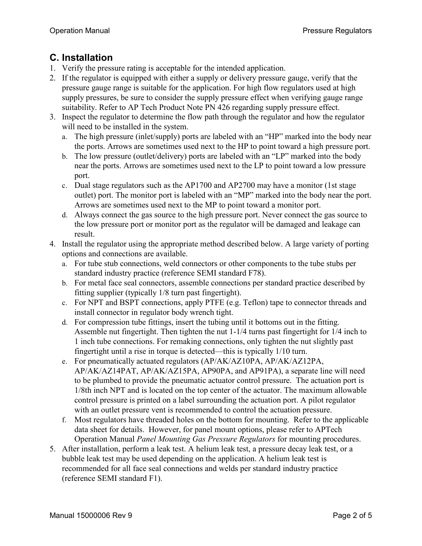#### **C. Installation**

- 1. Verify the pressure rating is acceptable for the intended application.
- 2. If the regulator is equipped with either a supply or delivery pressure gauge, verify that the pressure gauge range is suitable for the application. For high flow regulators used at high supply pressures, be sure to consider the supply pressure effect when verifying gauge range suitability. Refer to AP Tech Product Note PN 426 regarding supply pressure effect.
- 3. Inspect the regulator to determine the flow path through the regulator and how the regulator will need to be installed in the system.
	- a. The high pressure (inlet/supply) ports are labeled with an "HP" marked into the body near the ports. Arrows are sometimes used next to the HP to point toward a high pressure port.
	- b. The low pressure (outlet/delivery) ports are labeled with an "LP" marked into the body near the ports. Arrows are sometimes used next to the LP to point toward a low pressure port.
	- c. Dual stage regulators such as the AP1700 and AP2700 may have a monitor (1st stage outlet) port. The monitor port is labeled with an "MP" marked into the body near the port. Arrows are sometimes used next to the MP to point toward a monitor port.
	- d. Always connect the gas source to the high pressure port. Never connect the gas source to the low pressure port or monitor port as the regulator will be damaged and leakage can result.
- 4. Install the regulator using the appropriate method described below. A large variety of porting options and connections are available.
	- a. For tube stub connections, weld connectors or other components to the tube stubs per standard industry practice (reference SEMI standard F78).
	- b. For metal face seal connectors, assemble connections per standard practice described by fitting supplier (typically 1/8 turn past fingertight).
	- c. For NPT and BSPT connections, apply PTFE (e.g. Teflon) tape to connector threads and install connector in regulator body wrench tight.
	- d. For compression tube fittings, insert the tubing until it bottoms out in the fitting. Assemble nut fingertight. Then tighten the nut 1-1/4 turns past fingertight for 1/4 inch to 1 inch tube connections. For remaking connections, only tighten the nut slightly past fingertight until a rise in torque is detected—this is typically 1/10 turn.
	- e. For pneumatically actuated regulators (AP/AK/AZ10PA, AP/AK/AZ12PA, AP/AK/AZ14PAT, AP/AK/AZ15PA, AP90PA, and AP91PA), a separate line will need to be plumbed to provide the pneumatic actuator control pressure. The actuation port is 1/8th inch NPT and is located on the top center of the actuator. The maximum allowable control pressure is printed on a label surrounding the actuation port. A pilot regulator with an outlet pressure vent is recommended to control the actuation pressure.
	- f. Most regulators have threaded holes on the bottom for mounting. Refer to the applicable data sheet for details. However, for panel mount options, please refer to APTech Operation Manual *Panel Mounting Gas Pressure Regulators* for mounting procedures.
- 5. After installation, perform a leak test. A helium leak test, a pressure decay leak test, or a bubble leak test may be used depending on the application. A helium leak test is recommended for all face seal connections and welds per standard industry practice (reference SEMI standard F1).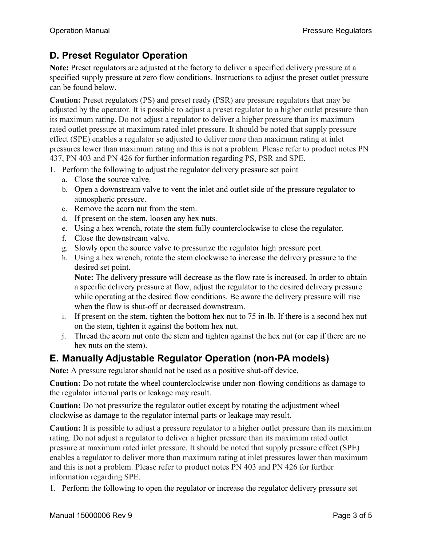## **D. Preset Regulator Operation**

**Note:** Preset regulators are adjusted at the factory to deliver a specified delivery pressure at a specified supply pressure at zero flow conditions. Instructions to adjust the preset outlet pressure can be found below.

**Caution:** Preset regulators (PS) and preset ready (PSR) are pressure regulators that may be adjusted by the operator. It is possible to adjust a preset regulator to a higher outlet pressure than its maximum rating. Do not adjust a regulator to deliver a higher pressure than its maximum rated outlet pressure at maximum rated inlet pressure. It should be noted that supply pressure effect (SPE) enables a regulator so adjusted to deliver more than maximum rating at inlet pressures lower than maximum rating and this is not a problem. Please refer to product notes PN 437, PN 403 and PN 426 for further information regarding PS, PSR and SPE.

- 1. Perform the following to adjust the regulator delivery pressure set point
	- a. Close the source valve.
	- b. Open a downstream valve to vent the inlet and outlet side of the pressure regulator to atmospheric pressure.
	- c. Remove the acorn nut from the stem.
	- d. If present on the stem, loosen any hex nuts.
	- e. Using a hex wrench, rotate the stem fully counterclockwise to close the regulator.
	- f. Close the downstream valve.
	- g. Slowly open the source valve to pressurize the regulator high pressure port.
	- h. Using a hex wrench, rotate the stem clockwise to increase the delivery pressure to the desired set point.

**Note:** The delivery pressure will decrease as the flow rate is increased. In order to obtain a specific delivery pressure at flow, adjust the regulator to the desired delivery pressure while operating at the desired flow conditions. Be aware the delivery pressure will rise when the flow is shut-off or decreased downstream.

- i. If present on the stem, tighten the bottom hex nut to 75 in-lb. If there is a second hex nut on the stem, tighten it against the bottom hex nut.
- j. Thread the acorn nut onto the stem and tighten against the hex nut (or cap if there are no hex nuts on the stem).

## **E. Manually Adjustable Regulator Operation (non-PA models)**

**Note:** A pressure regulator should not be used as a positive shut-off device.

**Caution:** Do not rotate the wheel counterclockwise under non-flowing conditions as damage to the regulator internal parts or leakage may result.

**Caution:** Do not pressurize the regulator outlet except by rotating the adjustment wheel clockwise as damage to the regulator internal parts or leakage may result.

**Caution:** It is possible to adjust a pressure regulator to a higher outlet pressure than its maximum rating. Do not adjust a regulator to deliver a higher pressure than its maximum rated outlet pressure at maximum rated inlet pressure. It should be noted that supply pressure effect (SPE) enables a regulator to deliver more than maximum rating at inlet pressures lower than maximum and this is not a problem. Please refer to product notes PN 403 and PN 426 for further information regarding SPE.

1. Perform the following to open the regulator or increase the regulator delivery pressure set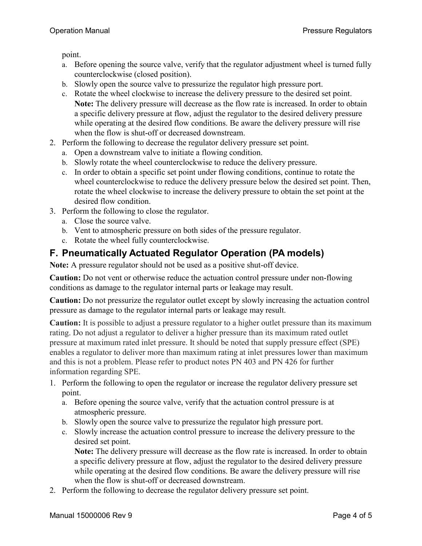point.

- a. Before opening the source valve, verify that the regulator adjustment wheel is turned fully counterclockwise (closed position).
- b. Slowly open the source valve to pressurize the regulator high pressure port.
- c. Rotate the wheel clockwise to increase the delivery pressure to the desired set point. **Note:** The delivery pressure will decrease as the flow rate is increased. In order to obtain a specific delivery pressure at flow, adjust the regulator to the desired delivery pressure while operating at the desired flow conditions. Be aware the delivery pressure will rise when the flow is shut-off or decreased downstream.
- 2. Perform the following to decrease the regulator delivery pressure set point.
	- a. Open a downstream valve to initiate a flowing condition.
	- b. Slowly rotate the wheel counterclockwise to reduce the delivery pressure.
	- c. In order to obtain a specific set point under flowing conditions, continue to rotate the wheel counterclockwise to reduce the delivery pressure below the desired set point. Then, rotate the wheel clockwise to increase the delivery pressure to obtain the set point at the desired flow condition.
- 3. Perform the following to close the regulator.
	- a. Close the source valve.
	- b. Vent to atmospheric pressure on both sides of the pressure regulator.
	- c. Rotate the wheel fully counterclockwise.

### **F. Pneumatically Actuated Regulator Operation (PA models)**

**Note:** A pressure regulator should not be used as a positive shut-off device.

**Caution:** Do not vent or otherwise reduce the actuation control pressure under non-flowing conditions as damage to the regulator internal parts or leakage may result.

**Caution:** Do not pressurize the regulator outlet except by slowly increasing the actuation control pressure as damage to the regulator internal parts or leakage may result.

**Caution:** It is possible to adjust a pressure regulator to a higher outlet pressure than its maximum rating. Do not adjust a regulator to deliver a higher pressure than its maximum rated outlet pressure at maximum rated inlet pressure. It should be noted that supply pressure effect (SPE) enables a regulator to deliver more than maximum rating at inlet pressures lower than maximum and this is not a problem. Please refer to product notes PN 403 and PN 426 for further information regarding SPE.

- 1. Perform the following to open the regulator or increase the regulator delivery pressure set point.
	- a. Before opening the source valve, verify that the actuation control pressure is at atmospheric pressure.
	- b. Slowly open the source valve to pressurize the regulator high pressure port.
	- c. Slowly increase the actuation control pressure to increase the delivery pressure to the desired set point.

**Note:** The delivery pressure will decrease as the flow rate is increased. In order to obtain a specific delivery pressure at flow, adjust the regulator to the desired delivery pressure while operating at the desired flow conditions. Be aware the delivery pressure will rise when the flow is shut-off or decreased downstream.

2. Perform the following to decrease the regulator delivery pressure set point.